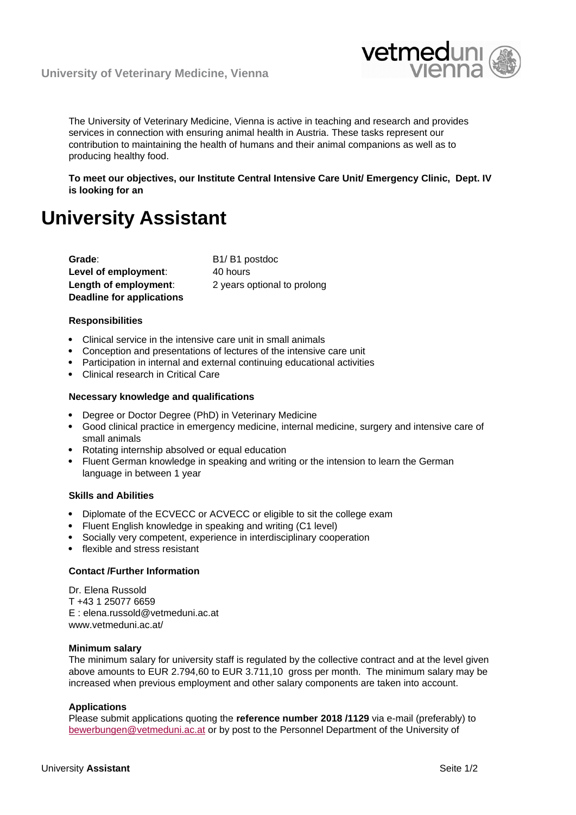

The University of Veterinary Medicine, Vienna is active in teaching and research and provides services in connection with ensuring animal health in Austria. These tasks represent our contribution to maintaining the health of humans and their animal companions as well as to producing healthy food.

**To meet our objectives, our Institute Central Intensive Care Unit/ Emergency Clinic, Dept. IV is looking for an**

# **University Assistant**

Grade: B1/ B1 postdoc **Level of employment:** 40 hours **Length of employment:** 2 years optional to prolong **Deadline for applications**

# **Responsibilities**

- Clinical service in the intensive care unit in small animals
- Conception and presentations of lectures of the intensive care unit
- Participation in internal and external continuing educational activities
- Clinical research in Critical Care

# **Necessary knowledge and qualifications**

- Degree or Doctor Degree (PhD) in Veterinary Medicine
- Good clinical practice in emergency medicine, internal medicine, surgery and intensive care of small animals
- Rotating internship absolved or equal education
- Fluent German knowledge in speaking and writing or the intension to learn the German language in between 1 year

# **Skills and Abilities**

- Diplomate of the ECVECC or ACVECC or eligible to sit the college exam
- Fluent English knowledge in speaking and writing (C1 level)
- Socially very competent, experience in interdisciplinary cooperation
- flexible and stress resistant

# **Contact /Further Information**

Dr. Elena Russold T +43 1 25077 6659 E : elena.russold@vetmeduni.ac.at www.vetmeduni.ac.at/

# **Minimum salary**

The minimum salary for university staff is regulated by the collective contract and at the level given above amounts to EUR 2.794,60 to EUR 3.711,10 gross per month. The minimum salary may be increased when previous employment and other salary components are taken into account.

# **Applications**

Please submit applications quoting the **reference number 2018 /1129** via e-mail (preferably) to [bewerbungen@vetmeduni.ac.at](mailto:bewerbungen@vetmeduni.ac.at) or by post to the Personnel Department of the University of